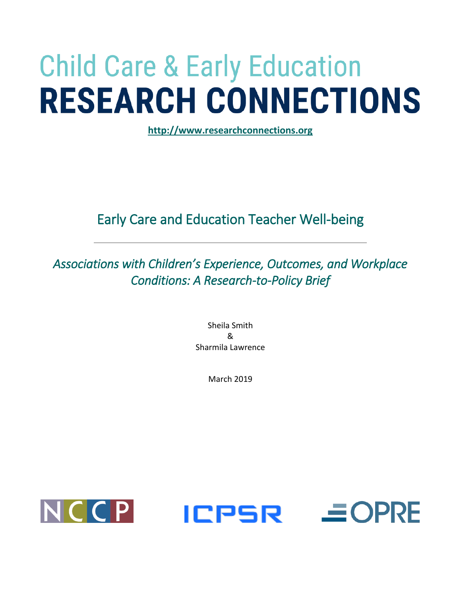# **Child Care & Early Education RESEARCH CONNECTIONS**

**[http://www.researchconnections.org](http://www.researchconnections.org/)** 

# Early Care and Education Teacher Well-being

*Associations with Children's Experience, Outcomes, and Workplace Conditions: A Research-to-Policy Brief* 

> Sheila Smith & Sharmila Lawrence

> > March 2019





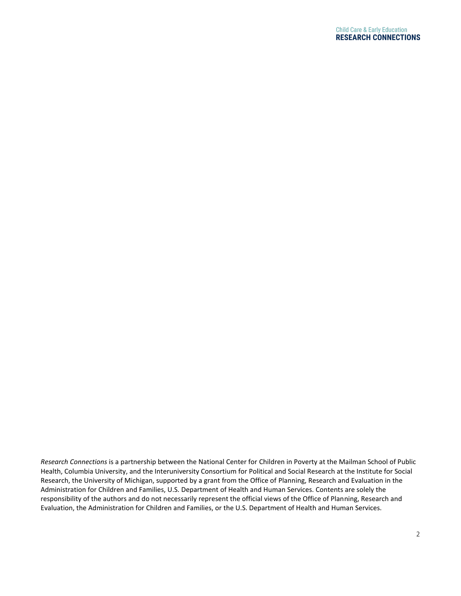*Research Connections* is a partnership between the National Center for Children in Poverty at the Mailman School of Public Health, Columbia University, and the Interuniversity Consortium for Political and Social Research at the Institute for Social Research, the University of Michigan, supported by a grant from the Office of Planning, Research and Evaluation in the Administration for Children and Families, U.S. Department of Health and Human Services. Contents are solely the responsibility of the authors and do not necessarily represent the official views of the Office of Planning, Research and Evaluation, the Administration for Children and Families, or the U.S. Department of Health and Human Services.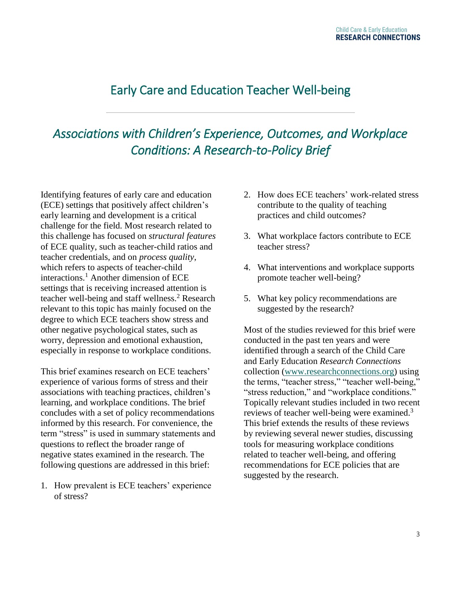# Early Care and Education Teacher Well-being

# *Associations with Children's Experience, Outcomes, and Workplace Conditions: A Research-to-Policy Brief*

Identifying features of early care and education (ECE) settings that positively affect children's early learning and development is a critical challenge for the field. Most research related to this challenge has focused on *structural features* of ECE quality, such as teacher-child ratios and teacher credentials, and on *process quality*, which refers to aspects of teacher-child interactions. <sup>1</sup> Another dimension of ECE settings that is receiving increased attention is teacher well-being and staff wellness.<sup>2</sup> Research relevant to this topic has mainly focused on the degree to which ECE teachers show stress and other negative psychological states, such as worry, depression and emotional exhaustion, especially in response to workplace conditions.

This brief examines research on ECE teachers' experience of various forms of stress and their associations with teaching practices, children's learning, and workplace conditions. The brief concludes with a set of policy recommendations informed by this research. For convenience, the term "stress" is used in summary statements and questions to reflect the broader range of negative states examined in the research. The following questions are addressed in this brief:

1. How prevalent is ECE teachers' experience of stress?

- 2. How does ECE teachers' work-related stress contribute to the quality of teaching practices and child outcomes?
- 3. What workplace factors contribute to ECE teacher stress?
- 4. What interventions and workplace supports promote teacher well-being?
- 5. What key policy recommendations are suggested by the research?

Most of the studies reviewed for this brief were conducted in the past ten years and were identified through a search of the Child Care and Early Education *Research Connections* collection [\(www.researchconnections.org\)](http://www.researchconnections.org/) using the terms, "teacher stress," "teacher well-being," "stress reduction," and "workplace conditions." Topically relevant studies included in two recent reviews of teacher well-being were examined.<sup>3</sup> This brief extends the results of these reviews by reviewing several newer studies, discussing tools for measuring workplace conditions related to teacher well-being, and offering recommendations for ECE policies that are suggested by the research.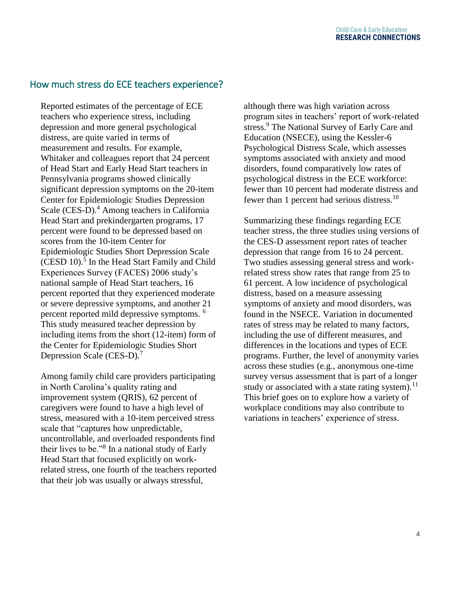## How much stress do ECE teachers experience?

Reported estimates of the percentage of ECE teachers who experience stress, including depression and more general psychological distress, are quite varied in terms of measurement and results. For example, Whitaker and colleagues report that 24 percent of Head Start and Early Head Start teachers in Pennsylvania programs showed clinically significant depression symptoms on the 20-item Center for Epidemiologic Studies Depression Scale (CES-D).<sup>4</sup> Among teachers in California Head Start and prekindergarten programs, 17 percent were found to be depressed based on scores from the 10-item Center for Epidemiologic Studies Short Depression Scale (CESD 10).<sup>5</sup> In the Head Start Family and Child Experiences Survey (FACES) 2006 study's national sample of Head Start teachers, 16 percent reported that they experienced moderate or severe depressive symptoms, and another 21 percent reported mild depressive symptoms. <sup>6</sup> This study measured teacher depression by including items from the short (12-item) form of the Center for Epidemiologic Studies Short Depression Scale (CES-D).<sup>7</sup>

Among family child care providers participating in North Carolina's quality rating and improvement system (QRIS), 62 percent of caregivers were found to have a high level of stress, measured with a 10-item perceived stress scale that "captures how unpredictable, uncontrollable, and overloaded respondents find their lives to be."<sup>8</sup> In a national study of Early Head Start that focused explicitly on workrelated stress, one fourth of the teachers reported that their job was usually or always stressful,

although there was high variation across program sites in teachers' report of work-related stress.<sup>9</sup> The National Survey of Early Care and Education (NSECE), using the Kessler-6 Psychological Distress Scale, which assesses symptoms associated with anxiety and mood disorders, found comparatively low rates of psychological distress in the ECE workforce: fewer than 10 percent had moderate distress and fewer than 1 percent had serious distress.<sup>10</sup>

Summarizing these findings regarding ECE teacher stress, the three studies using versions of the CES-D assessment report rates of teacher depression that range from 16 to 24 percent. Two studies assessing general stress and workrelated stress show rates that range from 25 to 61 percent. A low incidence of psychological distress, based on a measure assessing symptoms of anxiety and mood disorders, was found in the NSECE. Variation in documented rates of stress may be related to many factors, including the use of different measures, and differences in the locations and types of ECE programs. Further, the level of anonymity varies across these studies (e.g., anonymous one-time survey versus assessment that is part of a longer study or associated with a state rating system).<sup>11</sup> This brief goes on to explore how a variety of workplace conditions may also contribute to variations in teachers' experience of stress.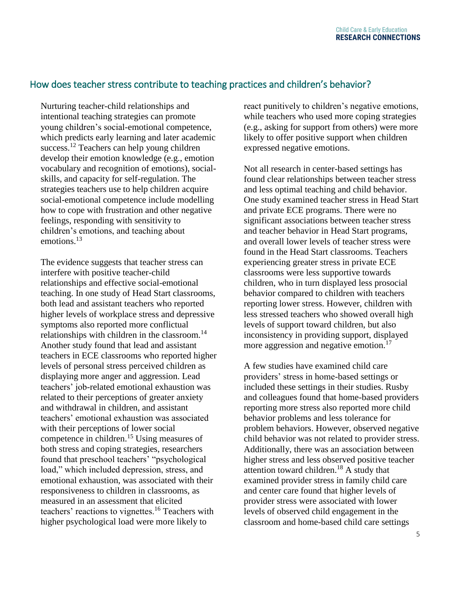## How does teacher stress contribute to teaching practices and children's behavior?

Nurturing teacher-child relationships and intentional teaching strategies can promote young children's social-emotional competence, which predicts early learning and later academic success.<sup>12</sup> Teachers can help young children develop their emotion knowledge (e.g., emotion vocabulary and recognition of emotions), socialskills, and capacity for self-regulation. The strategies teachers use to help children acquire social-emotional competence include modelling how to cope with frustration and other negative feelings, responding with sensitivity to children's emotions, and teaching about emotions.<sup>13</sup>

The evidence suggests that teacher stress can interfere with positive teacher-child relationships and effective social-emotional teaching. In one study of Head Start classrooms, both lead and assistant teachers who reported higher levels of workplace stress and depressive symptoms also reported more conflictual relationships with children in the classroom.<sup>14</sup> Another study found that lead and assistant teachers in ECE classrooms who reported higher levels of personal stress perceived children as displaying more anger and aggression. Lead teachers' job-related emotional exhaustion was related to their perceptions of greater anxiety and withdrawal in children, and assistant teachers' emotional exhaustion was associated with their perceptions of lower social competence in children.<sup>15</sup> Using measures of both stress and coping strategies, researchers found that preschool teachers' "psychological load," which included depression, stress, and emotional exhaustion, was associated with their responsiveness to children in classrooms, as measured in an assessment that elicited teachers' reactions to vignettes.<sup>16</sup> Teachers with higher psychological load were more likely to

react punitively to children's negative emotions, while teachers who used more coping strategies (e.g., asking for support from others) were more likely to offer positive support when children expressed negative emotions.

Not all research in center-based settings has found clear relationships between teacher stress and less optimal teaching and child behavior. One study examined teacher stress in Head Start and private ECE programs. There were no significant associations between teacher stress and teacher behavior in Head Start programs, and overall lower levels of teacher stress were found in the Head Start classrooms. Teachers experiencing greater stress in private ECE classrooms were less supportive towards children, who in turn displayed less prosocial behavior compared to children with teachers reporting lower stress. However, children with less stressed teachers who showed overall high levels of support toward children, but also inconsistency in providing support, displayed more aggression and negative emotion.<sup>17</sup>

A few studies have examined child care providers' stress in home-based settings or included these settings in their studies. Rusby and colleagues found that home-based providers reporting more stress also reported more child behavior problems and less tolerance for problem behaviors. However, observed negative child behavior was not related to provider stress. Additionally, there was an association between higher stress and less observed positive teacher attention toward children.<sup>18</sup> A study that examined provider stress in family child care and center care found that higher levels of provider stress were associated with lower levels of observed child engagement in the classroom and home-based child care settings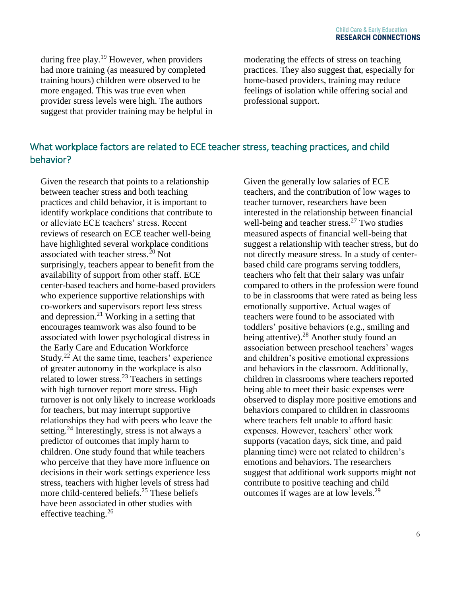during free play.<sup>19</sup> However, when providers had more training (as measured by completed training hours) children were observed to be more engaged. This was true even when provider stress levels were high. The authors suggest that provider training may be helpful in

moderating the effects of stress on teaching practices. They also suggest that, especially for home-based providers, training may reduce feelings of isolation while offering social and professional support.

# What workplace factors are related to ECE teacher stress, teaching practices, and child behavior?

Given the research that points to a relationship between teacher stress and both teaching practices and child behavior, it is important to identify workplace conditions that contribute to or alleviate ECE teachers' stress. Recent reviews of research on ECE teacher well-being have highlighted several workplace conditions associated with teacher stress.<sup>20</sup> Not surprisingly, teachers appear to benefit from the availability of support from other staff. ECE center-based teachers and home-based providers who experience supportive relationships with co-workers and supervisors report less stress and depression. $2<sup>1</sup>$  Working in a setting that encourages teamwork was also found to be associated with lower psychological distress in the Early Care and Education Workforce Study.<sup>22</sup> At the same time, teachers' experience of greater autonomy in the workplace is also related to lower stress. $^{23}$  Teachers in settings with high turnover report more stress. High turnover is not only likely to increase workloads for teachers, but may interrupt supportive relationships they had with peers who leave the setting.<sup>24</sup> Interestingly, stress is not always a predictor of outcomes that imply harm to children. One study found that while teachers who perceive that they have more influence on decisions in their work settings experience less stress, teachers with higher levels of stress had more child-centered beliefs.<sup>25</sup> These beliefs have been associated in other studies with effective teaching. $26$ 

Given the generally low salaries of ECE teachers, and the contribution of low wages to teacher turnover, researchers have been interested in the relationship between financial well-being and teacher stress. $27$  Two studies measured aspects of financial well-being that suggest a relationship with teacher stress, but do not directly measure stress. In a study of centerbased child care programs serving toddlers, teachers who felt that their salary was unfair compared to others in the profession were found to be in classrooms that were rated as being less emotionally supportive. Actual wages of teachers were found to be associated with toddlers' positive behaviors (e.g., smiling and being attentive).<sup>28</sup> Another study found an association between preschool teachers' wages and children's positive emotional expressions and behaviors in the classroom. Additionally, children in classrooms where teachers reported being able to meet their basic expenses were observed to display more positive emotions and behaviors compared to children in classrooms where teachers felt unable to afford basic expenses. However, teachers' other work supports (vacation days, sick time, and paid planning time) were not related to children's emotions and behaviors. The researchers suggest that additional work supports might not contribute to positive teaching and child outcomes if wages are at low levels.<sup>29</sup>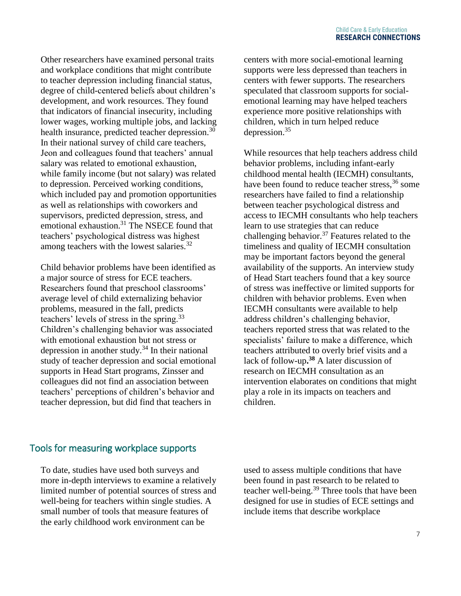Other researchers have examined personal traits and workplace conditions that might contribute to teacher depression including financial status, degree of child-centered beliefs about children's development, and work resources. They found that indicators of financial insecurity, including lower wages, working multiple jobs, and lacking health insurance, predicted teacher depression.<sup>30</sup> In their national survey of child care teachers, Jeon and colleagues found that teachers' annual salary was related to emotional exhaustion, while family income (but not salary) was related to depression. Perceived working conditions, which included pay and promotion opportunities as well as relationships with coworkers and supervisors, predicted depression, stress, and emotional exhaustion.<sup>31</sup> The NSECE found that teachers' psychological distress was highest among teachers with the lowest salaries.<sup>32</sup>

Child behavior problems have been identified as a major source of stress for ECE teachers. Researchers found that preschool classrooms' average level of child externalizing behavior problems, measured in the fall, predicts teachers' levels of stress in the spring.<sup>33</sup> Children's challenging behavior was associated with emotional exhaustion but not stress or depression in another study. $34$  In their national study of teacher depression and social emotional supports in Head Start programs, Zinsser and colleagues did not find an association between teachers' perceptions of children's behavior and teacher depression, but did find that teachers in

centers with more social-emotional learning supports were less depressed than teachers in centers with fewer supports. The researchers speculated that classroom supports for socialemotional learning may have helped teachers experience more positive relationships with children, which in turn helped reduce depression.<sup>35</sup>

While resources that help teachers address child behavior problems, including infant-early childhood mental health (IECMH) consultants, have been found to reduce teacher stress,<sup>36</sup> some researchers have failed to find a relationship between teacher psychological distress and access to IECMH consultants who help teachers learn to use strategies that can reduce challenging behavior.<sup>37</sup> Features related to the timeliness and quality of IECMH consultation may be important factors beyond the general availability of the supports. An interview study of Head Start teachers found that a key source of stress was ineffective or limited supports for children with behavior problems. Even when IECMH consultants were available to help address children's challenging behavior, teachers reported stress that was related to the specialists' failure to make a difference, which teachers attributed to overly brief visits and a lack of follow-up**. <sup>38</sup>** A later discussion of research on IECMH consultation as an intervention elaborates on conditions that might play a role in its impacts on teachers and children.

#### Tools for measuring workplace supports

To date, studies have used both surveys and more in-depth interviews to examine a relatively limited number of potential sources of stress and well-being for teachers within single studies. A small number of tools that measure features of the early childhood work environment can be

used to assess multiple conditions that have been found in past research to be related to teacher well-being.<sup>39</sup> Three tools that have been designed for use in studies of ECE settings and include items that describe workplace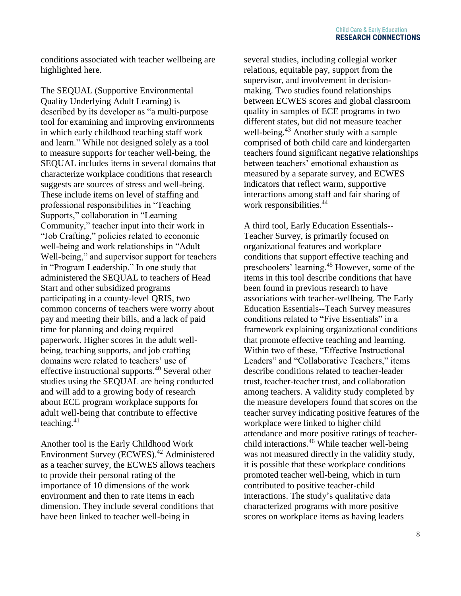conditions associated with teacher wellbeing are highlighted here.

The SEQUAL (Supportive Environmental Quality Underlying Adult Learning) is described by its developer as "a multi-purpose tool for examining and improving environments in which early childhood teaching staff work and learn." While not designed solely as a tool to measure supports for teacher well-being, the SEQUAL includes items in several domains that characterize workplace conditions that research suggests are sources of stress and well-being. These include items on level of staffing and professional responsibilities in "Teaching Supports," collaboration in "Learning Community," teacher input into their work in "Job Crafting," policies related to economic well-being and work relationships in "Adult Well-being," and supervisor support for teachers in "Program Leadership." In one study that administered the SEQUAL to teachers of Head Start and other subsidized programs participating in a county-level QRIS, two common concerns of teachers were worry about pay and meeting their bills, and a lack of paid time for planning and doing required paperwork. Higher scores in the adult wellbeing, teaching supports, and job crafting domains were related to teachers' use of effective instructional supports.<sup>40</sup> Several other studies using the SEQUAL are being conducted and will add to a growing body of research about ECE program workplace supports for adult well-being that contribute to effective teaching. $41$ 

Another tool is the Early Childhood Work Environment Survey (ECWES).<sup>42</sup> Administered as a teacher survey, the ECWES allows teachers to provide their personal rating of the importance of 10 dimensions of the work environment and then to rate items in each dimension. They include several conditions that have been linked to teacher well-being in

several studies, including collegial worker relations, equitable pay, support from the supervisor, and involvement in decisionmaking. Two studies found relationships between ECWES scores and global classroom quality in samples of ECE programs in two different states, but did not measure teacher well-being.<sup>43</sup> Another study with a sample comprised of both child care and kindergarten teachers found significant negative relationships between teachers' emotional exhaustion as measured by a separate survey, and ECWES indicators that reflect warm, supportive interactions among staff and fair sharing of work responsibilities.<sup>44</sup>

A third tool, Early Education Essentials-- Teacher Survey, is primarily focused on organizational features and workplace conditions that support effective teaching and preschoolers' learning.<sup>45</sup> However, some of the items in this tool describe conditions that have been found in previous research to have associations with teacher-wellbeing. The Early Education Essentials--Teach Survey measures conditions related to "Five Essentials" in a framework explaining organizational conditions that promote effective teaching and learning. Within two of these, "Effective Instructional Leaders" and "Collaborative Teachers," items describe conditions related to teacher-leader trust, teacher-teacher trust, and collaboration among teachers. A validity study completed by the measure developers found that scores on the teacher survey indicating positive features of the workplace were linked to higher child attendance and more positive ratings of teacherchild interactions.<sup>46</sup> While teacher well-being was not measured directly in the validity study, it is possible that these workplace conditions promoted teacher well-being, which in turn contributed to positive teacher-child interactions. The study's qualitative data characterized programs with more positive scores on workplace items as having leaders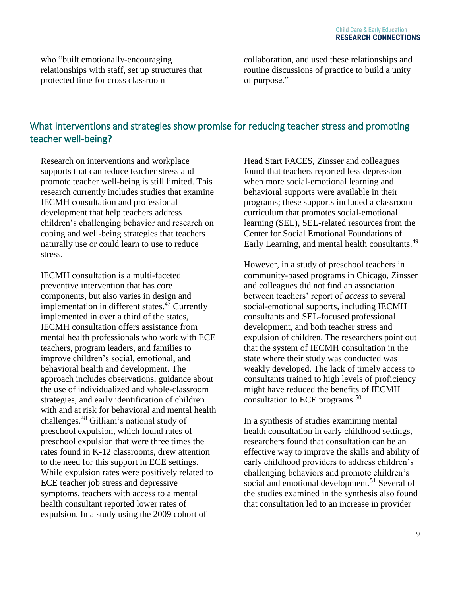who "built emotionally-encouraging relationships with staff, set up structures that protected time for cross classroom

collaboration, and used these relationships and routine discussions of practice to build a unity of purpose."

# What interventions and strategies show promise for reducing teacher stress and promoting teacher well-being?

Research on interventions and workplace supports that can reduce teacher stress and promote teacher well-being is still limited. This research currently includes studies that examine IECMH consultation and professional development that help teachers address children's challenging behavior and research on coping and well-being strategies that teachers naturally use or could learn to use to reduce stress.

IECMH consultation is a multi-faceted preventive intervention that has core components, but also varies in design and implementation in different states. $4\overline{7}$  Currently implemented in over a third of the states, IECMH consultation offers assistance from mental health professionals who work with ECE teachers, program leaders, and families to improve children's social, emotional, and behavioral health and development. The approach includes observations, guidance about the use of individualized and whole-classroom strategies, and early identification of children with and at risk for behavioral and mental health challenges.<sup>48</sup> Gilliam's national study of preschool expulsion, which found rates of preschool expulsion that were three times the rates found in K-12 classrooms, drew attention to the need for this support in ECE settings. While expulsion rates were positively related to ECE teacher job stress and depressive symptoms, teachers with access to a mental health consultant reported lower rates of expulsion. In a study using the 2009 cohort of

Head Start FACES, Zinsser and colleagues found that teachers reported less depression when more social-emotional learning and behavioral supports were available in their programs; these supports included a classroom curriculum that promotes social-emotional learning (SEL), SEL-related resources from the Center for Social Emotional Foundations of Early Learning, and mental health consultants.<sup>49</sup>

However, in a study of preschool teachers in community-based programs in Chicago, Zinsser and colleagues did not find an association between teachers' report of *access* to several social-emotional supports, including IECMH consultants and SEL-focused professional development, and both teacher stress and expulsion of children. The researchers point out that the system of IECMH consultation in the state where their study was conducted was weakly developed. The lack of timely access to consultants trained to high levels of proficiency might have reduced the benefits of IECMH consultation to ECE programs.<sup>50</sup>

In a synthesis of studies examining mental health consultation in early childhood settings, researchers found that consultation can be an effective way to improve the skills and ability of early childhood providers to address children's challenging behaviors and promote children's social and emotional development.<sup>51</sup> Several of the studies examined in the synthesis also found that consultation led to an increase in provider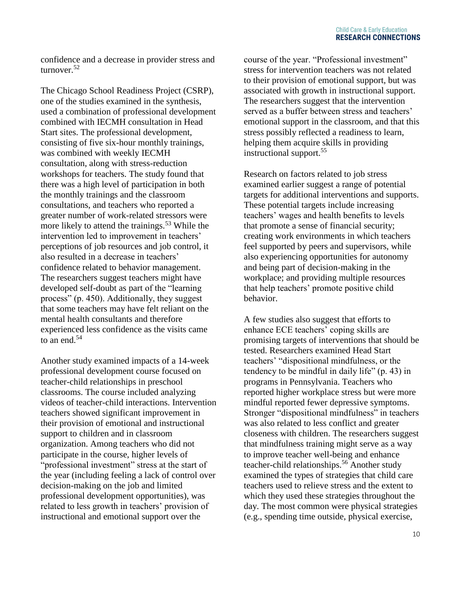confidence and a decrease in provider stress and turnover.<sup>52</sup>

The Chicago School Readiness Project (CSRP), one of the studies examined in the synthesis, used a combination of professional development combined with IECMH consultation in Head Start sites. The professional development, consisting of five six-hour monthly trainings, was combined with weekly IECMH consultation, along with stress-reduction workshops for teachers. The study found that there was a high level of participation in both the monthly trainings and the classroom consultations, and teachers who reported a greater number of work-related stressors were more likely to attend the trainings.<sup>53</sup> While the intervention led to improvement in teachers' perceptions of job resources and job control, it also resulted in a decrease in teachers' confidence related to behavior management. The researchers suggest teachers might have developed self-doubt as part of the "learning process" (p. 450). Additionally, they suggest that some teachers may have felt reliant on the mental health consultants and therefore experienced less confidence as the visits came to an end.<sup>54</sup>

Another study examined impacts of a 14-week professional development course focused on teacher-child relationships in preschool classrooms. The course included analyzing videos of teacher-child interactions. Intervention teachers showed significant improvement in their provision of emotional and instructional support to children and in classroom organization. Among teachers who did not participate in the course, higher levels of "professional investment" stress at the start of the year (including feeling a lack of control over decision-making on the job and limited professional development opportunities), was related to less growth in teachers' provision of instructional and emotional support over the

course of the year. "Professional investment" stress for intervention teachers was not related to their provision of emotional support, but was associated with growth in instructional support. The researchers suggest that the intervention served as a buffer between stress and teachers' emotional support in the classroom, and that this stress possibly reflected a readiness to learn, helping them acquire skills in providing instructional support.<sup>55</sup>

Research on factors related to job stress examined earlier suggest a range of potential targets for additional interventions and supports. These potential targets include increasing teachers' wages and health benefits to levels that promote a sense of financial security; creating work environments in which teachers feel supported by peers and supervisors, while also experiencing opportunities for autonomy and being part of decision-making in the workplace; and providing multiple resources that help teachers' promote positive child behavior.

A few studies also suggest that efforts to enhance ECE teachers' coping skills are promising targets of interventions that should be tested. Researchers examined Head Start teachers' "dispositional mindfulness, or the tendency to be mindful in daily life" (p. 43) in programs in Pennsylvania. Teachers who reported higher workplace stress but were more mindful reported fewer depressive symptoms. Stronger "dispositional mindfulness" in teachers was also related to less conflict and greater closeness with children. The researchers suggest that mindfulness training might serve as a way to improve teacher well-being and enhance teacher-child relationships.<sup>56</sup> Another study examined the types of strategies that child care teachers used to relieve stress and the extent to which they used these strategies throughout the day. The most common were physical strategies (e.g., spending time outside, physical exercise,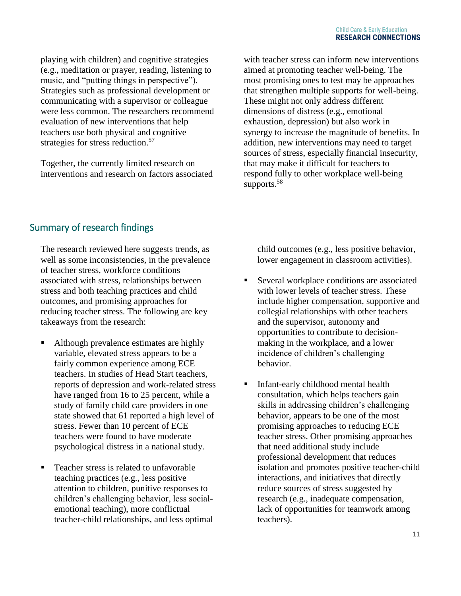playing with children) and cognitive strategies (e.g., meditation or prayer, reading, listening to music, and "putting things in perspective"). Strategies such as professional development or communicating with a supervisor or colleague were less common. The researchers recommend evaluation of new interventions that help teachers use both physical and cognitive strategies for stress reduction.<sup>57</sup>

Together, the currently limited research on interventions and research on factors associated with teacher stress can inform new interventions aimed at promoting teacher well-being. The most promising ones to test may be approaches that strengthen multiple supports for well-being. These might not only address different dimensions of distress (e.g., emotional exhaustion, depression) but also work in synergy to increase the magnitude of benefits. In addition, new interventions may need to target sources of stress, especially financial insecurity, that may make it difficult for teachers to respond fully to other workplace well-being supports.<sup>58</sup>

# Summary of research findings

The research reviewed here suggests trends, as well as some inconsistencies, in the prevalence of teacher stress, workforce conditions associated with stress, relationships between stress and both teaching practices and child outcomes, and promising approaches for reducing teacher stress. The following are key takeaways from the research:

- Although prevalence estimates are highly variable, elevated stress appears to be a fairly common experience among ECE teachers. In studies of Head Start teachers, reports of depression and work-related stress have ranged from 16 to 25 percent, while a study of family child care providers in one state showed that 61 reported a high level of stress. Fewer than 10 percent of ECE teachers were found to have moderate psychological distress in a national study.
- Teacher stress is related to unfavorable teaching practices (e.g., less positive attention to children, punitive responses to children's challenging behavior, less socialemotional teaching), more conflictual teacher-child relationships, and less optimal

child outcomes (e.g., less positive behavior, lower engagement in classroom activities).

- Several workplace conditions are associated with lower levels of teacher stress. These include higher compensation, supportive and collegial relationships with other teachers and the supervisor, autonomy and opportunities to contribute to decisionmaking in the workplace, and a lower incidence of children's challenging behavior.
- Infant-early childhood mental health consultation, which helps teachers gain skills in addressing children's challenging behavior, appears to be one of the most promising approaches to reducing ECE teacher stress. Other promising approaches that need additional study include professional development that reduces isolation and promotes positive teacher-child interactions, and initiatives that directly reduce sources of stress suggested by research (e.g., inadequate compensation, lack of opportunities for teamwork among teachers).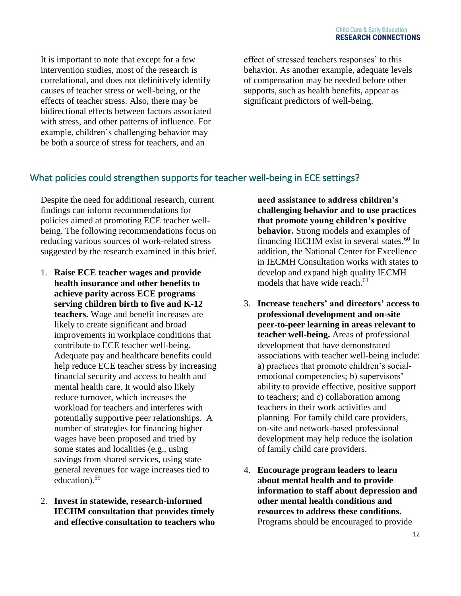It is important to note that except for a few intervention studies, most of the research is correlational, and does not definitively identify causes of teacher stress or well-being, or the effects of teacher stress. Also, there may be bidirectional effects between factors associated with stress, and other patterns of influence. For example, children's challenging behavior may be both a source of stress for teachers, and an

effect of stressed teachers responses' to this behavior. As another example, adequate levels of compensation may be needed before other supports, such as health benefits, appear as significant predictors of well-being.

## What policies could strengthen supports for teacher well-being in ECE settings?

Despite the need for additional research, current findings can inform recommendations for policies aimed at promoting ECE teacher wellbeing. The following recommendations focus on reducing various sources of work-related stress suggested by the research examined in this brief.

- 1. **Raise ECE teacher wages and provide health insurance and other benefits to achieve parity across ECE programs serving children birth to five and K-12 teachers.** Wage and benefit increases are likely to create significant and broad improvements in workplace conditions that contribute to ECE teacher well-being. Adequate pay and healthcare benefits could help reduce ECE teacher stress by increasing financial security and access to health and mental health care. It would also likely reduce turnover, which increases the workload for teachers and interferes with potentially supportive peer relationships. A number of strategies for financing higher wages have been proposed and tried by some states and localities (e.g., using savings from shared services, using state general revenues for wage increases tied to education).<sup>59</sup>
- 2. **Invest in statewide, research-informed IECHM consultation that provides timely and effective consultation to teachers who**

**need assistance to address children's challenging behavior and to use practices that promote young children's positive behavior.** Strong models and examples of financing IECHM exist in several states. $60$  In addition, the National Center for Excellence in IECMH Consultation works with states to develop and expand high quality IECMH models that have wide reach.<sup>61</sup>

- 3. **Increase teachers' and directors' access to professional development and on-site peer-to-peer learning in areas relevant to teacher well-being.** Areas of professional development that have demonstrated associations with teacher well-being include: a) practices that promote children's socialemotional competencies; b) supervisors' ability to provide effective, positive support to teachers; and c) collaboration among teachers in their work activities and planning. For family child care providers, on-site and network-based professional development may help reduce the isolation of family child care providers.
- 4. **Encourage program leaders to learn about mental health and to provide information to staff about depression and other mental health conditions and resources to address these conditions**. Programs should be encouraged to provide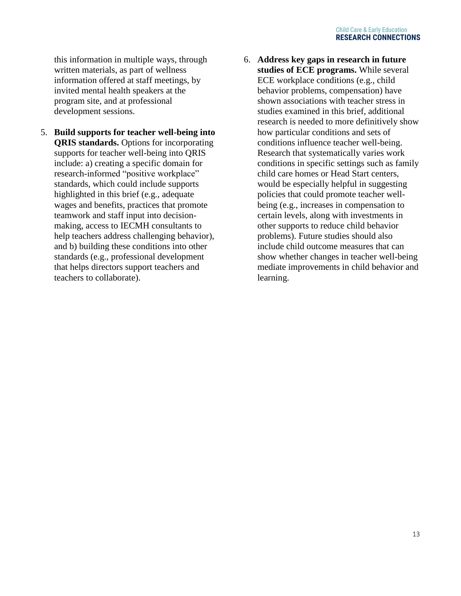this information in multiple ways, through written materials, as part of wellness information offered at staff meetings, by invited mental health speakers at the program site, and at professional development sessions.

- 5. **Build supports for teacher well-being into QRIS standards.** Options for incorporating supports for teacher well-being into QRIS include: a) creating a specific domain for research-informed "positive workplace" standards, which could include supports highlighted in this brief (e.g., adequate wages and benefits, practices that promote teamwork and staff input into decisionmaking, access to IECMH consultants to help teachers address challenging behavior), and b) building these conditions into other standards (e.g., professional development that helps directors support teachers and teachers to collaborate).
- 6. **Address key gaps in research in future studies of ECE programs.** While several ECE workplace conditions (e.g., child behavior problems, compensation) have shown associations with teacher stress in studies examined in this brief, additional research is needed to more definitively show how particular conditions and sets of conditions influence teacher well-being. Research that systematically varies work conditions in specific settings such as family child care homes or Head Start centers, would be especially helpful in suggesting policies that could promote teacher wellbeing (e.g., increases in compensation to certain levels, along with investments in other supports to reduce child behavior problems). Future studies should also include child outcome measures that can show whether changes in teacher well-being mediate improvements in child behavior and learning.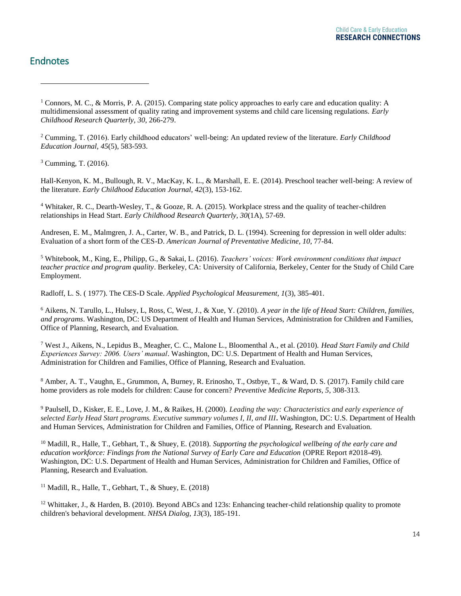#### **Child Care & Early Education RESEARCH CONNECTIONS**

## Endnotes

 $\overline{a}$ 

<sup>1</sup> Connors, M. C., & Morris, P. A. (2015). Comparing state policy approaches to early care and education quality: A multidimensional assessment of quality rating and improvement systems and child care licensing regulations. *Early Childhood Research Quarterly, 30*, 266-279.

<sup>2</sup> Cumming, T. (2016). Early childhood educators' well-being: An updated review of the literature. *Early Childhood Education Journal, 45*(5), 583-593.

<sup>3</sup> Cumming, T. (2016).

Hall-Kenyon, K. M., Bullough, R. V., MacKay, K. L., & Marshall, E. E. (2014). Preschool teacher well-being: A review of the literature. *Early Childhood Education Journal, 42*(3), 153-162.

<sup>4</sup> Whitaker, R. C., Dearth-Wesley, T., & Gooze, R. A. (2015). [Workplace stress and the quality of teacher-children](http://www.researchconnections.org/childcare/resources/28898?q=Workplace+stress+and+the+quality+of+teacher-children+relationships+in+Head+Start)  [relationships in Head Start.](http://www.researchconnections.org/childcare/resources/28898?q=Workplace+stress+and+the+quality+of+teacher-children+relationships+in+Head+Start) *Early Childhood Research Quarterly, 30*(1A), 57-69.

Andresen, E. M., Malmgren, J. A., Carter, W. B., and Patrick, D. L. (1994). Screening for depression in well older adults: Evaluation of a short form of the CES-D. *American Journal of Preventative Medicine, 10*, 77-84.

<sup>5</sup> Whitebook, M., King, E., Philipp, G., & Sakai, L. (2016). *Teachers' voices: Work environment conditions that impact teacher practice and program quality*. Berkeley, CA: University of California, Berkeley, Center for the Study of Child Care Employment.

Radloff, L. S. ( 1977). The CES-D Scale. *Applied Psychological Measurement, 1*(3), 385-401.

<sup>6</sup> Aikens, N. Tarullo, L., Hulsey, L, Ross, C, West, J., & Xue, Y. (2010). *A year in the life of Head Start: Children, families, and programs*. Washington, DC: US Department of Health and Human Services, Administration for Children and Families, Office of Planning, Research, and Evaluation.

<sup>7</sup> West J., Aikens, N., Lepidus B., Meagher, C. C., Malone L., Bloomenthal A., et al. (2010). *Head Start Family and Child Experiences Survey: 2006. Users' manual*. Washington, DC: U.S. Department of Health and Human Services, Administration for Children and Families, Office of Planning, Research and Evaluation.

<sup>8</sup> Amber, A. T., Vaughn, E., Grummon, A, Burney, R. Erinosho, T., Ostbye, T., & Ward, D. S. (2017). Family child care home providers as role models for children: Cause for concern? *Preventive Medicine Reports, 5*, 308-313.

<sup>9</sup> Paulsell, D., Kisker, E. E., Love, J. M., & Raikes, H. (2000). *Leading the way: Characteristics and early experience of selected Early Head Start programs. Executive summary volumes I, II, and III***.** Washington, DC: U.S. Department of Health and Human Services, Administration for Children and Families, Office of Planning, Research and Evaluation.

<sup>10</sup> Madill, R., Halle, T., Gebhart, T., & Shuey, E. (2018). *Supporting the psychological wellbeing of the early care and education workforce: Findings from the National Survey of Early Care and Education* (OPRE Report #2018-49). Washington, DC: U.S. Department of Health and Human Services, Administration for Children and Families, Office of Planning, Research and Evaluation.

<sup>11</sup> Madill, R., Halle, T., Gebhart, T., & Shuey, E.  $(2018)$ 

<sup>12</sup> Whittaker, J., & Harden, B. (2010). Beyond ABCs and 123s: Enhancing teacher-child relationship quality to promote [children's behavioral development.](https://www.researchconnections.org/childcare/resources/22896) *NHSA Dialog*, *13*(3), 185-191.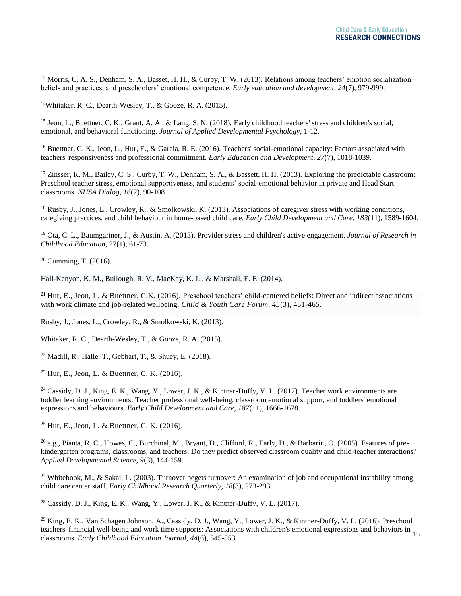<sup>13</sup> Morris, C. A. S., Denham, S. A., Basset, H. H., & Curby, T. W. (2013). Relations among teachers' emotion socialization [beliefs and practices, and preschoolers' emotional competence.](https://www.researchconnections.org/childcare/resources/26367) *Early education and development, 24*(7), 979-999.

<sup>14</sup>Whitaker, R. C., Dearth-Wesley, T., & Gooze, R. A. (2015).

<sup>15</sup> Jeon, L., Buettner, C. K., Grant, A. A., & Lang, S. N. (2018). [Early childhood teachers' stress and children's social,](https://www.researchconnections.org/childcare/resources/35693)  [emotional, and behavioral functioning.](https://www.researchconnections.org/childcare/resources/35693) *Journal of Applied Developmental Psychology*, 1-12.

<sup>16</sup> Buettner, C. K., Jeon, L., Hur, E., & Garcia, R. E. (2016). Teachers' social-emotional capacity: Factors associated with [teachers' responsiveness and professional commitment.](https://www.researchconnections.org/childcare/resources/32552?q=Teachers%27+social-emotional+capacity%3A+Factors+associated+with+teachers%27+responsiveness+and+professional+commitment) *Early Education and Development, 27*(7), 1018-1039.

<sup>17</sup> Zinsser, K. M., Bailey, C. S., Curby, T. W., Denham, S. A., & Bassett, H. H. (2013). Exploring the predictable classroom: [Preschool teacher stress, emotional supportiveness, and students' social-emotional behavior in private and Head Start](http://www.researchconnections.org/childcare/resources/34763?q=Exploring+the+predictable+classroom%3A+Preschool+teacher+stress%2C+emotional+supportiveness%2C+and+students%EF%BF%BD+social-emotional+behavior+in+private+and+Head+Start+classrooms)  [classrooms.](http://www.researchconnections.org/childcare/resources/34763?q=Exploring+the+predictable+classroom%3A+Preschool+teacher+stress%2C+emotional+supportiveness%2C+and+students%EF%BF%BD+social-emotional+behavior+in+private+and+Head+Start+classrooms) *NHSA Dialog, 16*(2), 90-108

<sup>18</sup> Rusby, J., Jones, L., Crowley, R., & Smolkowski, K. (2013). Associations of caregiver stress with working conditions, [caregiving practices, and child behaviour in](https://www.researchconnections.org/childcare/resources/27287?q=Associations+of+caregiver+stress+with+working+conditions%2C+caregiving+practices%2C+and+child+behaviour+in+home-based+child+care) home-based child care. *Early Child Development and Care*, *183*(11), 1589-1604.

<sup>19</sup> Ota, C. L., Baumgartner, J., & Austin, A. (2013). [Provider stress and children's active engagement.](https://www.researchconnections.org/childcare/resources/28951?q=Provider+stress+and+children%27s+active+engagement) *Journal of Research in Childhood Education*, 27(1), 61-73.

 $20$  Cumming, T. (2016).

 $\overline{a}$ 

Hall-Kenyon, K. M., Bullough, R. V., MacKay, K. L., & Marshall, E. E. (2014).

<sup>21</sup> Hur, E., Jeon, L. & Buettner, C.K. (2016). Preschool teachers' child-centered beliefs: Direct and indirect associations with work climate and job-related wellbeing. *Child & Youth Care Forum, 45*(3), 451-465.

Rusby, J., Jones, L., Crowley, R., & Smolkowski, K. (2013).

Whitaker, R. C., Dearth-Wesley, T., & Gooze, R. A. (2015).

<sup>22</sup> Madill, R., Halle, T., Gebhart, T., & Shuey, E. (2018).

<sup>23</sup> Hur, E., Jeon, L. & Buettner, C. K. (2016).

<sup>24</sup> Cassidy, D. J., King, E. K., Wang, Y., Lower, J. K., & Kintner-Duffy, V. L. (2017). Teacher work environments are [toddler learning environments: Teacher professional well-being, classroom emotional support, and toddlers' emotional](https://www.researchconnections.org/childcare/resources/34638?q=Teacher+work+environments+are+toddler+learning+environments%3A+Teacher+professional+well-being%2C+classroom+emotional+support%2C+and+toddlers%27+emotional+expressions+and+behaviours)  [expressions and behaviours.](https://www.researchconnections.org/childcare/resources/34638?q=Teacher+work+environments+are+toddler+learning+environments%3A+Teacher+professional+well-being%2C+classroom+emotional+support%2C+and+toddlers%27+emotional+expressions+and+behaviours) *Early Child Development and Care, 187*(11), 1666-1678.

<sup>25</sup> Hur, E., Jeon, L. & Buettner, C. K.  $(2016)$ .

 $^{26}$  e.g., Pianta, R. C., Howes, C., Burchinal, M., Bryant, D., Clifford, R., Early, D., & Barbarin, O. (2005). Features of prekindergarten programs, classrooms, and teachers: Do they predict observed classroom quality and child-teacher interactions? *Applied Developmental Science, 9*(3), 144-159.

<sup>27</sup> Whitebook, M., & Sakai, L. (2003). Turnover begets turnover: An examination of job and occupational instability among child care center staff. *Early Childhood Research Quarterly, 18*(3), 273-293.

<sup>28</sup> Cassidy, D. J., King, E. K., Wang, Y., Lower, J. K., & Kintner-Duffy, V. L. (2017).

[teachers' financial well-being and work time supports: Associations with children's emotional expressions and behaviors in](https://www.researchconnections.org/childcare/resources/32628?q=Preschool+teachers%27+financial+well-being+and+work+time+supports%3A+Associations+with+children%27s+emotional+expressions+and+behaviors+in+classrooms) 15<br>classrooms, Early Childhood Education Journal 446), 545,553 <sup>29</sup> King, E. K., Van Schagen Johnson, A., Cassidy, D. J., Wang, Y., Lower, J. K., & Kintner-Duffy, V. L. (2016). Preschool [classrooms.](https://www.researchconnections.org/childcare/resources/32628?q=Preschool+teachers%27+financial+well-being+and+work+time+supports%3A+Associations+with+children%27s+emotional+expressions+and+behaviors+in+classrooms) *Early Childhood Education Journal, 44*(6), 545-553.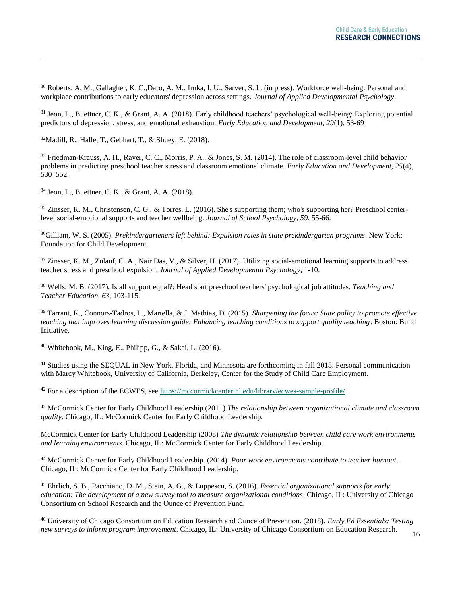<sup>30</sup> Roberts, A. M., Gallagher, K. C.,Daro, A. M., Iruka, I. U., Sarver, S. L. (in press). Workforce well-being: Personal and workplace contributions to early educators' depression across settings. *Journal of Applied Developmental Psychology*.

<sup>31</sup> Jeon, L., Buettner, C. K., & Grant, A. A. (2018). Early childhood teachers' psychological well-being: Exploring potential predictors of depression, stress, and emotional exhaustion. *Early Education and Development, 29*(1), 53-69

 $32$ Madill, R., Halle, T., Gebhart, T., & Shuey, E. (2018).

 $\overline{a}$ 

<sup>33</sup> Friedman-Krauss, A. H., Raver, C. C., Morris, P. A., & Jones, S. M. (2014). The role of classroom-level child behavior problems in predicting preschool teacher stress and classroom emotional climate. *Early Education and Development, 25*(4), 530–552.

<sup>34</sup> Jeon, L., Buettner, C. K., & Grant, A. A. (2018).

<sup>35</sup> Zinsser, K. M., Christensen, C. G., & Torres, L. (2016). She's supporting them; who's supporting her? Preschool centerlevel social-emotional supports and teacher wellbeing. *Journal of School Psychology, 59*, 55-66.

<sup>36</sup>Gilliam, W. S. (2005). *[Prekindergarteners left behind: Expulsion rates in state prekindergarten programs](https://www.researchconnections.org/childcare/resources/6144)*. New York: Foundation for Child Development.

<sup>37</sup> Zinsser, K. M., Zulauf, C. A., Nair Das, V., & Silver, H. (2017). Utilizing social-emotional learning supports to address [teacher stress and preschool expulsion.](https://www.researchconnections.org/childcare/resources/35313) *Journal of Applied Developmental Psychology*, 1-10.

<sup>38</sup> Wells, M. B. (2017). Is all support equal?: Head start preschool teachers' psychological job attitudes. *Teaching and Teacher Education, 63*, 103-115.

<sup>39</sup> Tarrant, K., Connors-Tadros, L., Martella, & J. Mathias, D. (2015). *Sharpening the focus: State policy to promote effective teaching that improves learning discussion guide: Enhancing teaching conditions to support quality teaching*. Boston: Build Initiative.

<sup>40</sup> Whitebook, M., King, E., Philipp, G., & Sakai, L. (2016).

<sup>41</sup> Studies using the SEQUAL in New York, Florida, and Minnesota are forthcoming in fall 2018. Personal communication with Marcy Whitebook, University of California, Berkeley, Center for the Study of Child Care Employment.

<sup>42</sup> For a description of the ECWES, see<https://mccormickcenter.nl.edu/library/ecwes-sample-profile/>

<sup>43</sup> McCormick Center for Early Childhood Leadership (2011) *The relationship between organizational climate and classroom quality*. Chicago, IL: McCormick Center for Early Childhood Leadership.

McCormick Center for Early Childhood Leadership (2008) *The dynamic relationship between child care work environments and learning environments*. Chicago, IL: McCormick Center for Early Childhood Leadership.

<sup>44</sup> McCormick Center for Early Childhood Leadership. (2014). *Poor work environments contribute to teacher burnout*. Chicago, IL: McCormick Center for Early Childhood Leadership.

<sup>45</sup> Ehrlich, S. B., Pacchiano, D. M., Stein, A. G., & Luppescu, S. (2016). *Essential organizational supports for early education: The development of a new survey tool to measure organizational conditions*. Chicago, IL: University of Chicago Consortium on School Research and the Ounce of Prevention Fund.

<sup>46</sup> University of Chicago Consortium on Education Research and Ounce of Prevention. (2018). *Early Ed Essentials: Testing new surveys to inform program improvement*. Chicago, IL: University of Chicago Consortium on Education Research.